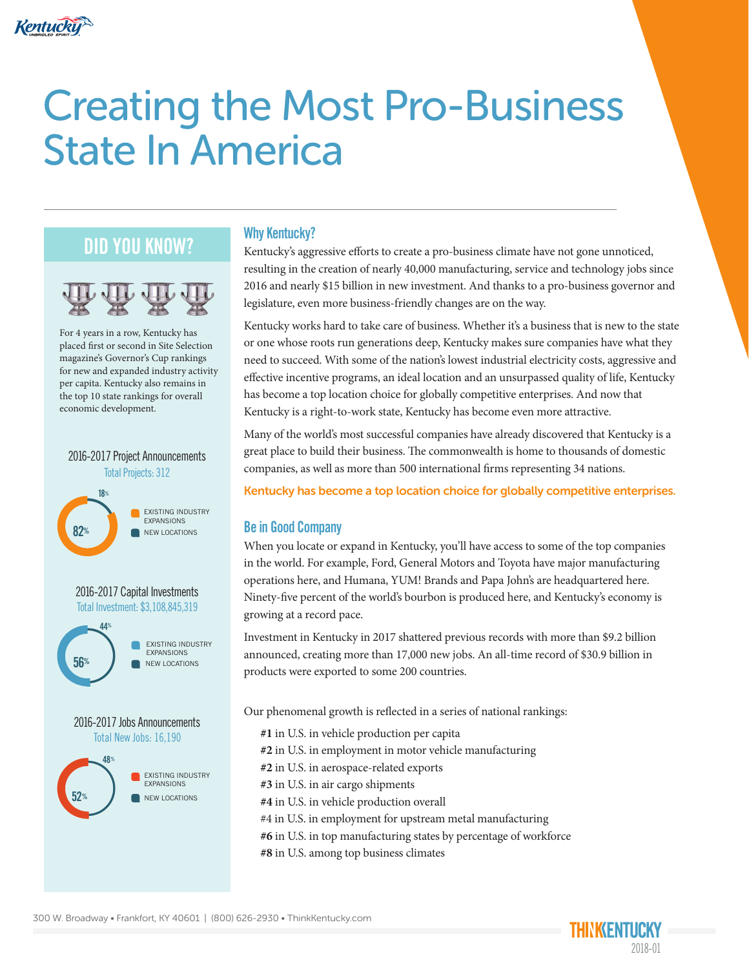

# Creating the Most Pro-Business State In America

### DID YOU KNOW?



For 4 years in a row, Kentucky has placed first or second in Site Selection magazine's Governor's Cup rankings for new and expanded industry activity per capita. Kentucky also remains in the top 10 state rankings for overall economic development.

#### 82% 18% Total Projects: 312 2016-2017 Project Announcements **EXISTING INDUSTRY** EXPANSIONS NEW LOCATIONS





#### Why Kentucky?

Kentucky's aggressive efforts to create a pro-business climate have not gone unnoticed, resulting in the creation of nearly 40,000 manufacturing, service and technology jobs since 2016 and nearly \$15 billion in new investment. And thanks to a pro-business governor and legislature, even more business-friendly changes are on the way.

Kentucky works hard to take care of business. Whether it's a business that is new to the state or one whose roots run generations deep, Kentucky makes sure companies have what they need to succeed. With some of the nation's lowest industrial electricity costs, aggressive and effective incentive programs, an ideal location and an unsurpassed quality of life, Kentucky has become a top location choice for globally competitive enterprises. And now that Kentucky is a right-to-work state, Kentucky has become even more attractive.

Many of the world's most successful companies have already discovered that Kentucky is a great place to build their business. The commonwealth is home to thousands of domestic companies, as well as more than 500 international firms representing 34 nations.

Kentucky has become a top location choice for globally competitive enterprises.

#### Be in Good Company

When you locate or expand in Kentucky, you'll have access to some of the top companies in the world. For example, Ford, General Motors and Toyota have major manufacturing operations here, and Humana, YUM! Brands and Papa John's are headquartered here. Ninety-five percent of the world's bourbon is produced here, and Kentucky's economy is growing at a record pace.

Investment in Kentucky in 2017 shattered previous records with more than \$9.2 billion announced, creating more than 17,000 new jobs. An all-time record of \$30.9 billion in products were exported to some 200 countries.

Our phenomenal growth is reflected in a series of national rankings:

- **#1** in U.S. in vehicle production per capita
- **#2** in U.S. in employment in motor vehicle manufacturing
- **#2** in U.S. in aerospace-related exports
- **#3** in U.S. in air cargo shipments
- **#4** in U.S. in vehicle production overall
- #4 in U.S. in employment for upstream metal manufacturing
- **#6** in U.S. in top manufacturing states by percentage of workforce
- **#8** in U.S. among top business climates

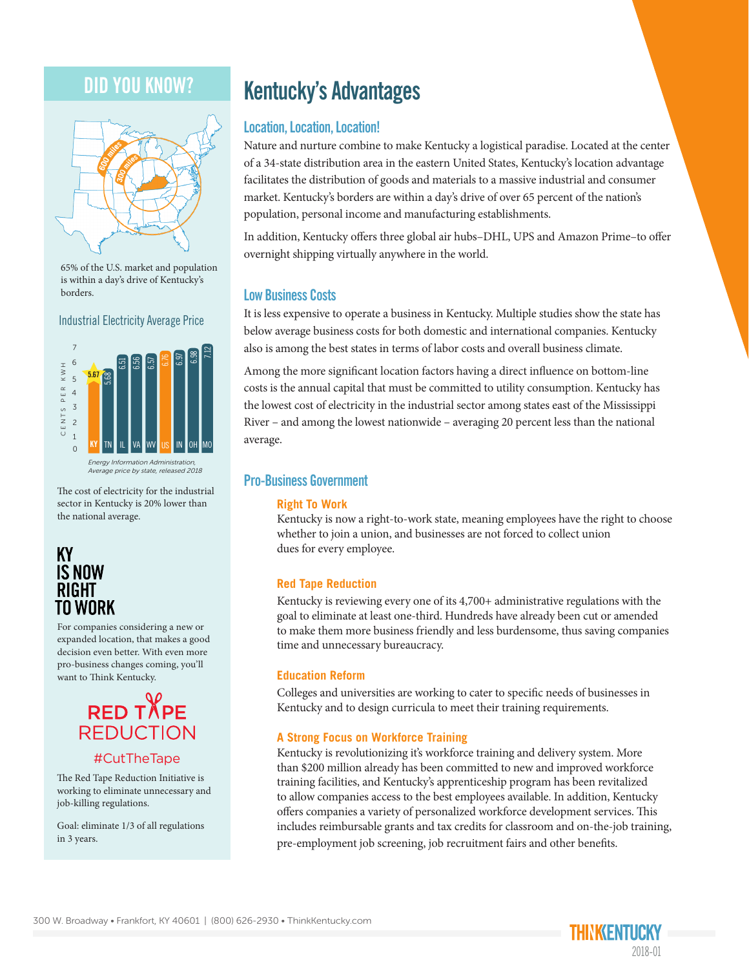### DID YOU KNOW?



65% of the U.S. market and population is within a day's drive of Kentucky's borders.

Industrial Electricity Average Price



The cost of electricity for the industrial sector in Kentucky is 20% lower than the national average.

#### **KY IS NOW RIGHT** TO WORK

For companies considering a new or expanded location, that makes a good decision even better. With even more pro-business changes coming, you'll want to Think Kentucky.

### **RED TAPE REDUCTION**

#### #CutTheTape

The Red Tape Reduction Initiative is working to eliminate unnecessary and job-killing regulations.

Goal: eliminate 1/3 of all regulations in 3 years.

### Kentucky's Advantages

#### Location, Location, Location!

Nature and nurture combine to make Kentucky a logistical paradise. Located at the center of a 34-state distribution area in the eastern United States, Kentucky's location advantage facilitates the distribution of goods and materials to a massive industrial and consumer market. Kentucky's borders are within a day's drive of over 65 percent of the nation's population, personal income and manufacturing establishments.

In addition, Kentucky offers three global air hubs–DHL, UPS and Amazon Prime–to offer overnight shipping virtually anywhere in the world.

#### Low Business Costs

It is less expensive to operate a business in Kentucky. Multiple studies show the state has below average business costs for both domestic and international companies. Kentucky also is among the best states in terms of labor costs and overall business climate.

Among the more significant location factors having a direct influence on bottom-line costs is the annual capital that must be committed to utility consumption. Kentucky has the lowest cost of electricity in the industrial sector among states east of the Mississippi River – and among the lowest nationwide – averaging 20 percent less than the national average.

#### Pro-Business Government

#### **Right To Work**

Kentucky is now a right-to-work state, meaning employees have the right to choose whether to join a union, and businesses are not forced to collect union dues for every employee.

#### **Red Tape Reduction**

Kentucky is reviewing every one of its 4,700+ administrative regulations with the goal to eliminate at least one-third. Hundreds have already been cut or amended to make them more business friendly and less burdensome, thus saving companies time and unnecessary bureaucracy.

#### **Education Reform**

Colleges and universities are working to cater to specific needs of businesses in Kentucky and to design curricula to meet their training requirements.

#### **A Strong Focus on Workforce Training**

Kentucky is revolutionizing it's workforce training and delivery system. More than \$200 million already has been committed to new and improved workforce training facilities, and Kentucky's apprenticeship program has been revitalized to allow companies access to the best employees available. In addition, Kentucky offers companies a variety of personalized workforce development services. This includes reimbursable grants and tax credits for classroom and on-the-job training, pre-employment job screening, job recruitment fairs and other benefits.